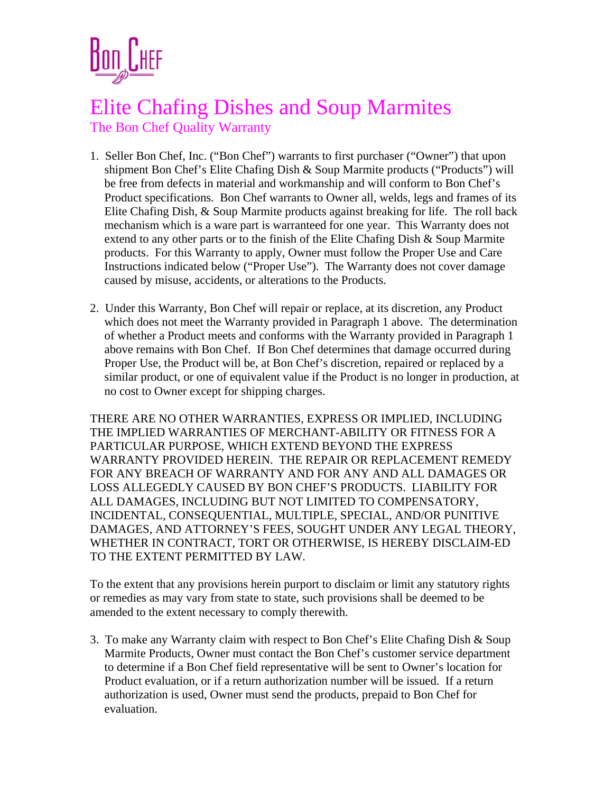

## Elite Chafing Dishes and Soup Marmites The Bon Chef Quality Warranty

- 1. Seller Bon Chef, Inc. ("Bon Chef") warrants to first purchaser ("Owner") that upon shipment Bon Chef's Elite Chafing Dish & Soup Marmite products ("Products") will be free from defects in material and workmanship and will conform to Bon Chef's Product specifications. Bon Chef warrants to Owner all, welds, legs and frames of its Elite Chafing Dish, & Soup Marmite products against breaking for life. The roll back mechanism which is a ware part is warranteed for one year. This Warranty does not extend to any other parts or to the finish of the Elite Chafing Dish & Soup Marmite products. For this Warranty to apply, Owner must follow the Proper Use and Care Instructions indicated below ("Proper Use"). The Warranty does not cover damage caused by misuse, accidents, or alterations to the Products.
- 2. Under this Warranty, Bon Chef will repair or replace, at its discretion, any Product which does not meet the Warranty provided in Paragraph 1 above. The determination of whether a Product meets and conforms with the Warranty provided in Paragraph 1 above remains with Bon Chef. If Bon Chef determines that damage occurred during Proper Use, the Product will be, at Bon Chef's discretion, repaired or replaced by a similar product, or one of equivalent value if the Product is no longer in production, at no cost to Owner except for shipping charges.

THERE ARE NO OTHER WARRANTIES, EXPRESS OR IMPLIED, INCLUDING THE IMPLIED WARRANTIES OF MERCHANT-ABILITY OR FITNESS FOR A PARTICULAR PURPOSE, WHICH EXTEND BEYOND THE EXPRESS WARRANTY PROVIDED HEREIN. THE REPAIR OR REPLACEMENT REMEDY FOR ANY BREACH OF WARRANTY AND FOR ANY AND ALL DAMAGES OR LOSS ALLEGEDLY CAUSED BY BON CHEF'S PRODUCTS. LIABILITY FOR ALL DAMAGES, INCLUDING BUT NOT LIMITED TO COMPENSATORY, INCIDENTAL, CONSEQUENTIAL, MULTIPLE, SPECIAL, AND/OR PUNITIVE DAMAGES, AND ATTORNEY'S FEES, SOUGHT UNDER ANY LEGAL THEORY, WHETHER IN CONTRACT, TORT OR OTHERWISE, IS HEREBY DISCLAIM-ED TO THE EXTENT PERMITTED BY LAW.

To the extent that any provisions herein purport to disclaim or limit any statutory rights or remedies as may vary from state to state, such provisions shall be deemed to be amended to the extent necessary to comply therewith.

3. To make any Warranty claim with respect to Bon Chef's Elite Chafing Dish & Soup Marmite Products, Owner must contact the Bon Chef's customer service department to determine if a Bon Chef field representative will be sent to Owner's location for Product evaluation, or if a return authorization number will be issued. If a return authorization is used, Owner must send the products, prepaid to Bon Chef for evaluation.